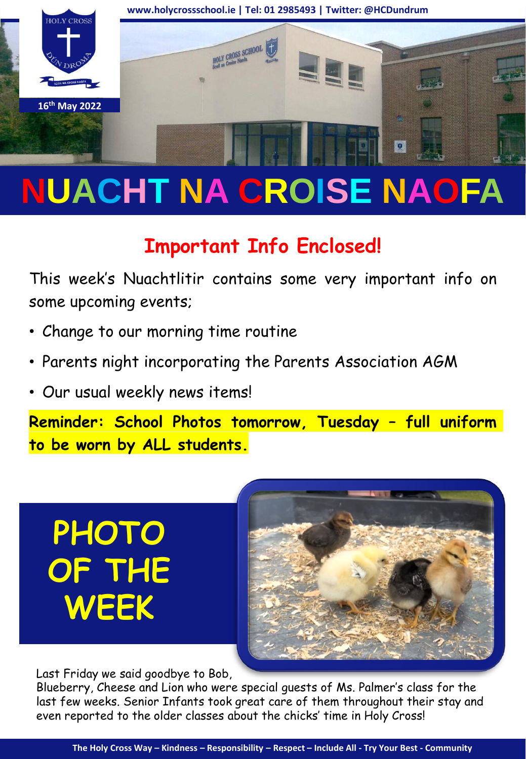

# **NUACHT NA CROISE NAOFA**

### **Important Info Enclosed!**

This week's Nuachtlitir contains some very important info on some upcoming events;

- Change to our morning time routine
- Parents night incorporating the Parents Association AGM
- Our usual weekly news items!

**Reminder: School Photos tomorrow, Tuesday – full uniform to be worn by ALL students.**

**PHOTO OF THE WEEK**



Last Friday we said goodbye to Bob,

Blueberry, Cheese and Lion who were special guests of Ms. Palmer's class for the last few weeks. Senior Infants took great care of them throughout their stay and even reported to the older classes about the chicks' time in Holy Cross!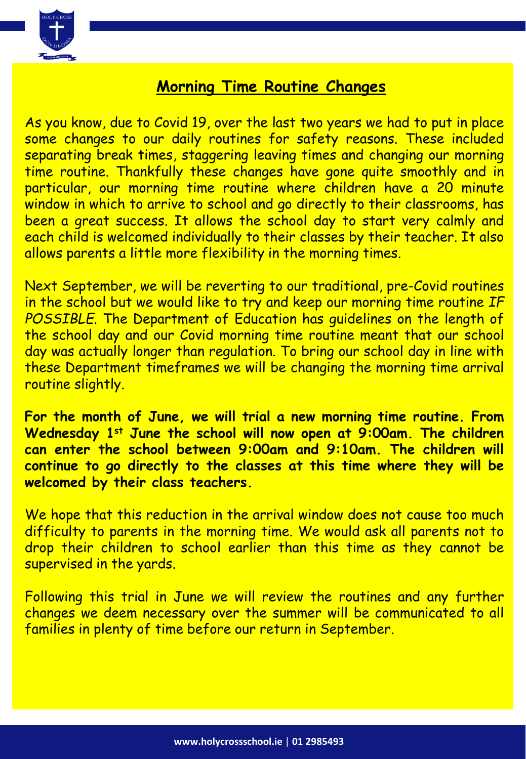

#### **Morning Time Routine Changes**

As you know, due to Covid 19, over the last two years we had to put in place some changes to our daily routines for safety reasons. These included separating break times, staggering leaving times and changing our morning time routine. Thankfully these changes have gone quite smoothly and in particular, our morning time routine where children have a 20 minute window in which to arrive to school and go directly to their classrooms, has been a great success. It allows the school day to start very calmly and each child is welcomed individually to their classes by their teacher. It also allows parents a little more flexibility in the morning times.

Next September, we will be reverting to our traditional, pre-Covid routines in the school but we would like to try and keep our morning time routine *IF* POSSIBLE. The Department of Education has guidelines on the length of the school day and our Covid morning time routine meant that our school day was actually longer than regulation. To bring our school day in line with these Department timeframes we will be changing the morning time arrival routine slightly.

**For the month of June, we will trial a new morning time routine. From Wednesday 1st June the school will now open at 9:00am. The children can enter the school between 9:00am and 9:10am. The children will continue to go directly to the classes at this time where they will be welcomed by their class teachers.**

We hope that this reduction in the arrival window does not cause too much difficulty to parents in the morning time. We would ask all parents not to drop their children to school earlier than this time as they cannot be supervised in the yards.

Following this trial in June we will review the routines and any further changes we deem necessary over the summer will be communicated to all families in plenty of time before our return in September.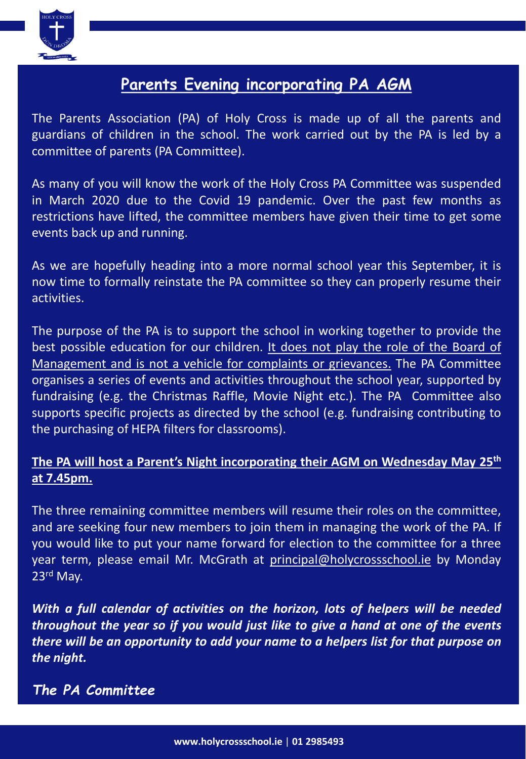

#### **Parents Evening incorporating PA AGM**

The Parents Association (PA) of Holy Cross is made up of all the parents and guardians of children in the school. The work carried out by the PA is led by a committee of parents (PA Committee).

As many of you will know the work of the Holy Cross PA Committee was suspended in March 2020 due to the Covid 19 pandemic. Over the past few months as restrictions have lifted, the committee members have given their time to get some events back up and running.

As we are hopefully heading into a more normal school year this September, it is now time to formally reinstate the PA committee so they can properly resume their activities.

The purpose of the PA is to support the school in working together to provide the best possible education for our children. It does not play the role of the Board of Management and is not a vehicle for complaints or grievances. The PA Committee organises a series of events and activities throughout the school year, supported by fundraising (e.g. the Christmas Raffle, Movie Night etc.). The PA Committee also supports specific projects as directed by the school (e.g. fundraising contributing to the purchasing of HEPA filters for classrooms).

#### **The PA will host a Parent's Night incorporating their AGM on Wednesday May 25th at 7.45pm.**

The three remaining committee members will resume their roles on the committee, and are seeking four new members to join them in managing the work of the PA. If you would like to put your name forward for election to the committee for a three year term, please email Mr. McGrath at [principal@holycrossschool.ie](mailto:principal@holycrossschool.ie) by Monday 23rd May.

*With a full calendar of activities on the horizon, lots of helpers will be needed throughout the year so if you would just like to give a hand at one of the events there will be an opportunity to add your name to a helpers list for that purpose on the night.*

*The PA Committee*